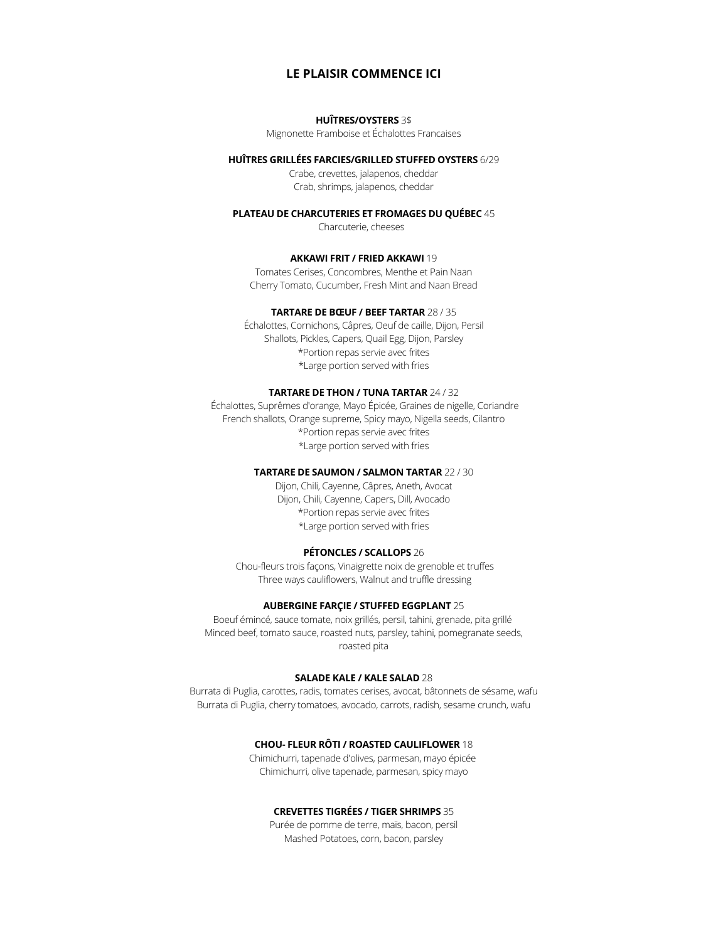# **LE PLAISIR COMMENCE ICI**

### **HUÎTRES/OYSTERS** 3\$

Mignonette Framboise et Échalottes Francaises

## **HUÎTRES GRILLÉES FARCIES/GRILLED STUFFED OYSTERS** 6/29

Crabe, crevettes, jalapenos, cheddar Crab, shrimps, jalapenos, cheddar

#### **PLATEAU DE CHARCUTERIES ET FROMAGES DU QUÉBEC** 45

Charcuterie, cheeses

#### **AKKAWI FRIT / FRIED AKKAWI** 19

Tomates Cerises, Concombres, Menthe et Pain Naan Cherry Tomato, Cucumber, Fresh Mint and Naan Bread

### **TARTARE DE BŒUF / BEEF TARTAR** 28 / 35

Échalottes, Cornichons, Câpres, Oeuf de caille, Dijon, Persil Shallots, Pickles, Capers, Quail Egg, Dijon, Parsley \*Portion repas servie avec frites \*Large portion served with fries

#### **TARTARE DE THON / TUNA TARTAR** 24 / 32

Échalottes, Suprêmes d'orange, Mayo Épicée, Graines de nigelle, Coriandre French shallots, Orange supreme, Spicy mayo, Nigella seeds, Cilantro \*Portion repas servie avec frites \*Large portion served with fries

### **TARTARE DE SAUMON / SALMON TARTAR** 22 / 30

Dijon, Chili, Cayenne, Câpres, Aneth, Avocat Dijon, Chili, Cayenne, Capers, Dill, Avocado \*Portion repas servie avec frites \*Large portion served with fries

#### **PÉTONCLES / SCALLOPS** 26

Chou-fleurs trois façons, Vinaigrette noix de grenoble et truffes Three ways cauliflowers, Walnut and truffle dressing

## **AUBERGINE FARÇIE / STUFFED EGGPLANT** 25

Boeuf émincé, sauce tomate, noix grillés, persil, tahini, grenade, pita grillé Minced beef, tomato sauce, roasted nuts, parsley, tahini, pomegranate seeds, roasted pita

# **SALADE KALE / KALE SALAD** 28

Burrata di Puglia, carottes, radis, tomates cerises, avocat, bâtonnets de sésame, wafu Burrata di Puglia, cherry tomatoes, avocado, carrots, radish, sesame crunch, wafu

## **CHOU- FLEUR RÔTI / ROASTED CAULIFLOWER** 18

Chimichurri, tapenade d'olives, parmesan, mayo épicée Chimichurri, olive tapenade, parmesan, spicy mayo

# **CREVETTES TIGRÉES / TIGER SHRIMPS** 35

Purée de pomme de terre, maïs, bacon, persil Mashed Potatoes, corn, bacon, parsley